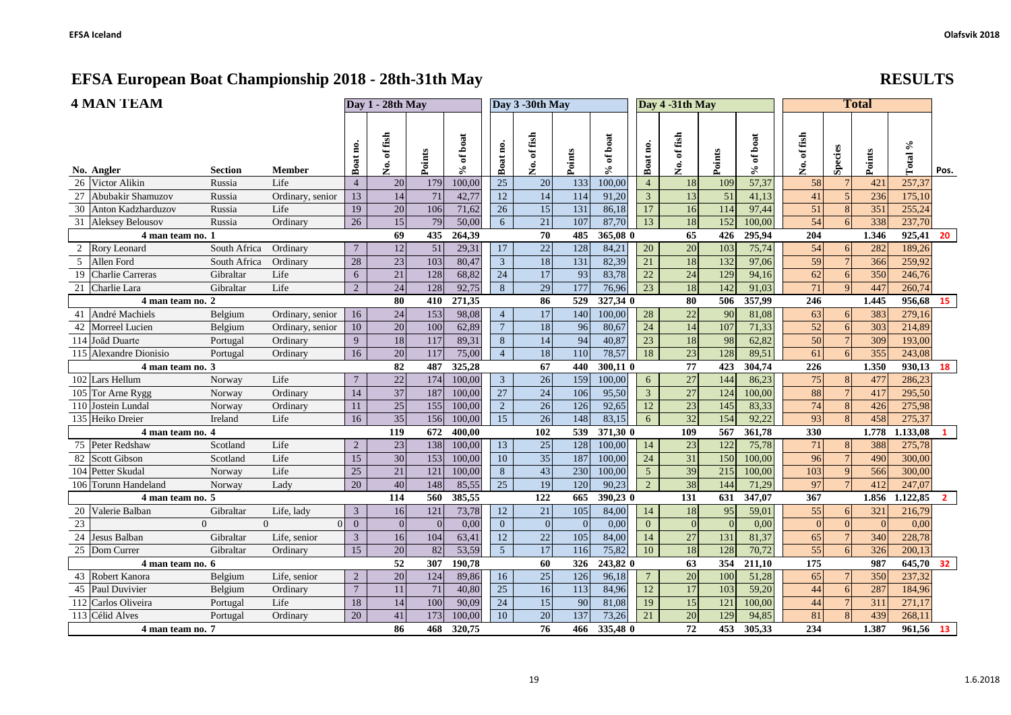| EFSA European Doat Championship 2010 - 20th-31th May |                       |                |                  |    |                 |     |                |                 |           |     |          |                 |                 |     | <b>REPOLIP</b> |     |    |       |        |      |
|------------------------------------------------------|-----------------------|----------------|------------------|----|-----------------|-----|----------------|-----------------|-----------|-----|----------|-----------------|-----------------|-----|----------------|-----|----|-------|--------|------|
|                                                      | <b>4 MAN TEAM</b>     |                | Day 1 - 28th May |    |                 |     |                | Day 3 -30th May |           |     |          | Day 4 -31th May |                 |     |                |     |    |       |        |      |
|                                                      | No. Angler            | <b>Section</b> | <b>Member</b>    | ه  |                 |     | $\overline{a}$ | ខ្ព             | fish<br>Ž |     |          | മ               | 듻<br>٤Ξ<br>Ž    |     |                | 昜   | கி | S.    | వి     | Pos. |
|                                                      | 26 Victor Alikin      | Russia         | Life             |    | 20              | 179 | 100,00         | 25              | 20        | 133 | 100,00   |                 | 18 <sup>1</sup> | 109 | 57,37          | 58  |    | 421   | 257,37 |      |
|                                                      | 27 Abubakir Shamuzov  | Russia         | Ordinary, senior |    | 14              | 71  | 42,77          | 12              | 14        | 114 | 91,20    |                 |                 | 51  | 41,13          | 41  |    | 236   | 175,10 |      |
|                                                      | 30 Anton Kadzharduzov | Russia         | Life             | 19 | 20              | 106 | 71,62          | 26              | 15        | 131 | 86,18    |                 | 16 <sup>1</sup> | 114 | 97,44          | 51  |    | 351   | 255,24 |      |
|                                                      | 31 Aleksey Belousov   | Russia         | Ordinary         | 26 | 15 <sup>1</sup> | 79  | 50,00          | $6^{\circ}$     | 21        | 107 | 87,70    | 13              | 18              | 152 | 100,00         | 54  | h  | 338   | 237,70 |      |
|                                                      | 4 man team no. 1      |                |                  |    | 69              | 435 | 264.39         |                 | 70        | 485 | 365,08 0 |                 | 65              | 426 | 295.94         | 204 |    | 1.346 | 925,41 | -20  |
|                                                      | Rory Leonard          | South Africa   | Ordinary         |    | 12              | 51  | 29,31          | 17              | 22        | 128 | 84,21    | 20              | 20 <sup>1</sup> | 103 | 75,74          | 54  |    | 282   | 189,26 |      |
|                                                      | Allen Ford            | South Africa   | Ordinary         | 28 | 23              | 103 | 80,47          |                 | 18        | 131 | 82,39    | 21              | 18              | 132 | 97,06          | 59  |    | 366   | 259,92 |      |

|                 | 4 man team no. 1        |              | 69                   | 435             | 264,39          |          | 70     | 485             | 365,08 0        |          | 65       | 426             | 295,94          | 204           |        | 1.346    | 925,41         | 20    |           |                |
|-----------------|-------------------------|--------------|----------------------|-----------------|-----------------|----------|--------|-----------------|-----------------|----------|----------|-----------------|-----------------|---------------|--------|----------|----------------|-------|-----------|----------------|
|                 | Rory Leonard            | South Africa | Ordinary             | $7\phantom{.0}$ | 12              | 51       | 29,31  | 17              | 22              | 128      | 84,21    | 20              | 20              | 103           | 75,74  | 54       |                | 282   | 189,26    |                |
|                 | Allen Ford              | South Africa | Ordinary             | 28              | 23              | 103      | 80,47  | 3               | 18              | 131      | 82,39    | 21              | 18              | 132           | 97,06  | 59       |                | 366   | 259,92    |                |
|                 | <b>Charlie Carreras</b> | Gibraltar    | Life                 | 6               | 21              | 128      | 68,82  | 24              | 17              | 93       | 83,78    | $22\,$          | 24              | 129           | 94,16  | 62       |                | 350   | 246,76    |                |
|                 | 21 Charlie Lara         | Gibraltar    | Life                 | $\overline{2}$  | $\overline{24}$ | 128      | 92,75  | 8               | $\overline{29}$ | 177      | 76,96    | $\overline{23}$ | 18              | 142           | 91.03  | 71       | $\Omega$       | 447   | 260,74    |                |
|                 | 4 man team no. 2        |              |                      |                 | 80              | 410      | 271,35 |                 | 86              | 529      | 327,34 0 |                 | 80              | 506           | 357,99 | 246      |                | 1.445 | 956,68 15 |                |
|                 | André Machiels          | Belgium      | Ordinary, senior     | 16              | 24              | 153      | 98,08  | $\overline{4}$  | 17              | 140      | 100,00   | $28\,$          | $22\,$          | 90            | 81,08  | 63       | 6              | 383   | 279,16    |                |
|                 | Morreel Lucien          | Belgium      | Ordinary, senior     | 10              | 20              | 100      | 62,89  | $\overline{7}$  | 18              | 96       | 80,67    | 24              | 14              | 107           | 71,33  | 52       | 6              | 303   | 214,89    |                |
|                 | 114 Joãd Duarte         | Portugal     | Ordinary             | 9               | 18              | 117      | 89,31  | 8               | 14              | 94       | 40,87    | 23              | 18              | 98            | 62,82  | 50       |                | 309   | 193.00    |                |
|                 | 115 Alexandre Dionisio  | Portugal     | Ordinary             | 16              | 20              | 117      | 75,00  | $\overline{4}$  | 18              | 110      | 78,57    | 18              | 23              | 128           | 89.51  | 61       |                | 355   | 243,08    |                |
|                 | 4 man team no. 3        |              |                      |                 | 82              | 487      | 325,28 |                 | 67              | 440      | 300,11 0 |                 | 77              | 423           | 304.74 | 226      |                | 1.350 | 930,13 18 |                |
|                 | 102 Lars Hellum         | Norway       | Life                 | $7\phantom{.0}$ | 22              | 174      | 100,00 | $\mathfrak{Z}$  | 26              | 159      | 100,00   | 6               | 27              | 144           | 86,23  | 75       | 8              | 477   | 286,23    |                |
|                 | 105 Tor Arne Rygg       | Norway       | Ordinary             | 14              | 37              | 187      | 100.00 | $\overline{27}$ | 24              | 106      | 95,50    | $\overline{3}$  | 27              | 124           | 100,00 | 88       |                | 417   | 295,50    |                |
|                 | 110 Jostein Lundal      | Norway       | Ordinary             | 11              | 25              | 155      | 100,00 | $\overline{2}$  | 26              | 126      | 92,65    | 12              | 23              | 145           | 83,33  | 74       |                | 426   | 275,98    |                |
|                 | 135 Heiko Dreier        | Ireland      | Life                 | 16              | 35              | 156      | 100,00 | 15              | 26              | 148      | 83,15    | 6               | 32              | 154           | 92,22  | 93       | $\mathbf{R}$   | 458   | 275,37    |                |
|                 | 4 man team no. 4        |              |                      |                 | 119             | 672      | 400.00 |                 | 102             | 539      | 371,30 0 |                 | 109             | 567           | 361,78 | 330      |                | 1.778 | 1.133,08  | $\mathbf{1}$   |
|                 | Peter Redshaw           | Scotland     | Life                 | $\overline{2}$  | 23              | 138      | 100,00 | 13              | 25              | 128      | 100,00   | 14              | 23              | 122           | 75,78  | 71       | 8              | 388   | 275,78    |                |
| 82              | <b>Scott Gibson</b>     | Scotland     | Life                 | 15              | 30              | 153      | 100,00 | 10              | $\overline{35}$ | 187      | 100,00   | 24              | $\overline{31}$ | 150           | 100,00 | 96       | $\overline{7}$ | 490   | 300,00    |                |
|                 | 104 Petter Skudal       | Norway       | Life                 | 25              | 21              | 121      | 100,00 | 8               | 43              | 230      | 100,00   | 5               | 39              | 215           | 100,00 | 103      |                | 566   | 300,00    |                |
|                 | 106 Torunn Handeland    | Norway       | Lady                 | 20              | 40              | 148      | 85,55  | $\overline{25}$ | 19              | 120      | 90,23    | $\overline{2}$  | 38              | 144           | 71,29  | 97       | $\overline{7}$ | 412   | 247,07    |                |
|                 | 4 man team no. 5        |              |                      |                 | 114             | 560      | 385,55 |                 | 122             | 665      | 390,23 0 |                 | 131             | 631           | 347,07 | 367      |                | 1.856 | 1.122,85  | $\overline{2}$ |
|                 | Valerie Balban          | Gibraltar    | Life, lady           | 3               | 16              | 121      | 73,78  | 12              | 21              | 105      | 84,00    | 14              | 18              | 95            | 59,01  | 55       | 6              | 321   | 216,79    |                |
| $\overline{23}$ | $\Omega$                |              | $\Omega$<br>$\Omega$ | $\overline{0}$  | $\Omega$        | $\Omega$ | 0,00   | $\overline{0}$  | $\overline{0}$  | $\Omega$ | 0.00     | $\overline{0}$  | $\overline{0}$  | $\mathcal{C}$ | 0.00   | $\Omega$ |                |       | 0.00      |                |
| 24              | Jesus Balban            | Gibraltar    | Life, senior         | $\overline{3}$  | 16              | 104      | 63,41  | 12              | 22              | 105      | 84,00    | 14              | 27              | 131           | 81,37  | 65       |                | 340   | 228,78    |                |
|                 | 25 Dom Currer           | Gibraltar    | Ordinary             | 15              | 20              | 82       | 53,59  | 5 <sup>5</sup>  | $\overline{17}$ | 116      | 75,82    | 10              | $\overline{18}$ | 128           | 70,72  | 55       | $\overline{6}$ | 326   | 200.13    |                |
|                 | 4 man team no. 6        |              |                      |                 | 52              | 307      | 190.78 |                 | 60              | 326      | 243,82 0 |                 | 63              | 354           | 211.10 | 175      |                | 987   | 645,70 32 |                |
|                 | Robert Kanora           | Belgium      | Life, senior         | $\overline{2}$  | 20              | 124      | 89,86  | 16              | 25              | 126      | 96,18    | $\overline{7}$  | 20              | 100           | 51.28  | 65       |                | 350   | 237,32    |                |
| 45              | Paul Duvivier           | Belgium      | Ordinary             | $\overline{7}$  | 11              | 71       | 40,80  | $\overline{25}$ | 16              | 113      | 84,96    | 12              | 17              | 103           | 59,20  | 44       |                | 287   | 184,96    |                |
|                 | 112 Carlos Oliveira     | Portugal     | Life                 | 18              | 14              | 100      | 90,09  | 24              | 15              | 90       | 81,08    | 19              | 15              | 121           | 100,00 | 44       |                | 311   | 271,17    |                |
|                 | 113 Célid Alves         | Portugal     | Ordinary             | 20              | 41              | 173      | 100,00 | 10              | 20              | 137      | 73,26    | 21              | 20              | 129           | 94,85  | 81       | $\mathbf{8}$   | 439   | 268,11    |                |
|                 | 4 man team no. 7        |              |                      |                 | 86              | 468      | 320.75 |                 | 76              | 466      | 335,48 0 |                 | 72              | 453           | 305,33 | 234      |                | 1.387 | 961,56 13 |                |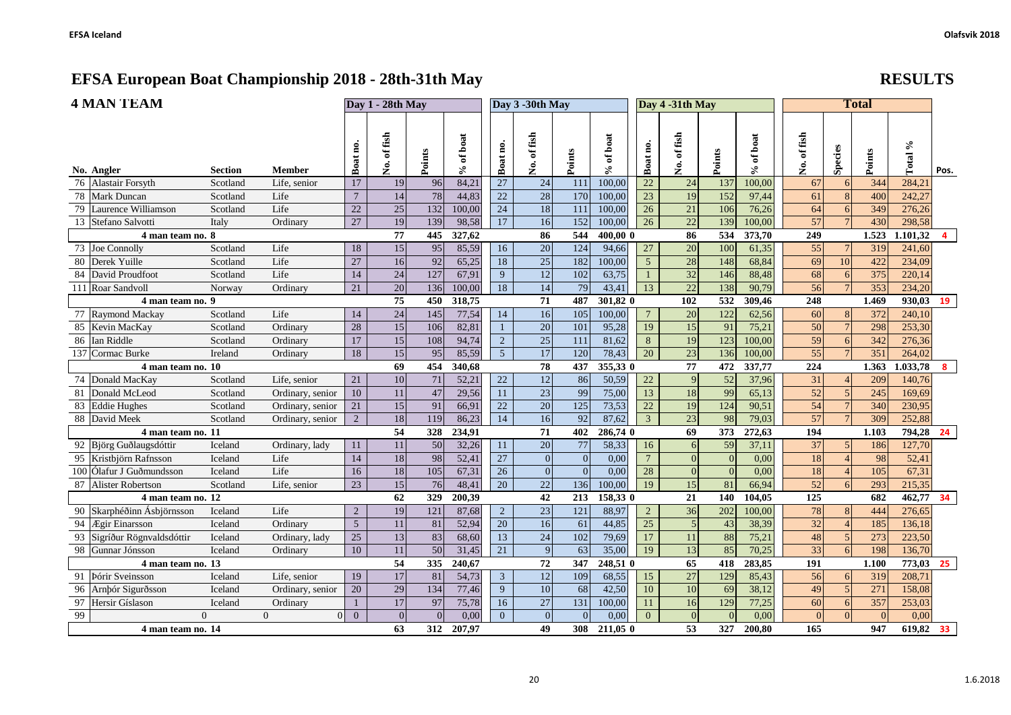| <b>4 MAN TEAM</b>           | Day 1 - 28th May |                  |                 |                |                 | Day 3 -30th May |                 |                  |                  | Day 4 -31th May |                  |                 | <b>Total</b>     |           |                 |                 |                 |           |                |
|-----------------------------|------------------|------------------|-----------------|----------------|-----------------|-----------------|-----------------|------------------|------------------|-----------------|------------------|-----------------|------------------|-----------|-----------------|-----------------|-----------------|-----------|----------------|
| No. Angler                  | <b>Section</b>   | <b>Member</b>    | Boat no.        | No. of fish    | Points          | of boat<br>℅    | Boat no.        | No. of fish      | Points           | of boat<br>$\%$ | Boat no.         | No. of fish     | Points           | % of boat | No. of fish     | Species         | Points          | Total %   | Pos.           |
| 76 Alastair Forsyth         | Scotland         | Life, senior     | 17              | 19             | 96              | 84,21           | 27              | 24               | 111              | 100,00          | $22\,$           | 24              | 137              | 100,00    | 67              | 6               | 344             | 284,21    |                |
| 78 Mark Duncan              | Scotland         | Life             | $\overline{7}$  | 14             | 78              | 44,83           | $22\,$          | 28               | 170              | 100,00          | 23               | 19              | 152              | 97,44     | 61              | 8               | 400             | 242,27    |                |
| 79 Laurence Williamson      | Scotland         | Life             | 22              | 25             | 132             | 100,00          | $\overline{24}$ | 18               | 111              | 100,00          | $\overline{26}$  | 21              | 106              | 76,26     | 64              | 6               | 349             | 276,26    |                |
| 13 Stefano Salvotti         | Italy            | Ordinary         | 27              | 19             | 139             | 98,58           | 17              | 16               | 152              | 100,00          | 26               | 22              | 139              | 100,00    | 57              | $\overline{7}$  | 430             | 298,58    |                |
| 4 man team no. 8            |                  |                  |                 | 77             | 445             | 327,62          |                 | 86               | 544              | 400.00 0        |                  | 86              | 534              | 373,70    | 249             |                 | 1.523           | 1.101,32  | $\overline{4}$ |
| 73 Joe Connolly             | Scotland         | Life             | 18              | 15             | 95              | 85,59           | 16              | 20               | 124              | 94,66           | 27               | $\overline{20}$ | 100              | 61,35     | 55              | 7 <sup>1</sup>  | 319             | 241,60    |                |
| 80 Derek Yuille             | Scotland         | Life             | $\overline{27}$ | 16             | $\overline{92}$ | 65,25           | 18              | $\overline{25}$  | 182              | 100,00          | 5                | $\overline{28}$ | 148              | 68,84     | 69              | 10              | 422             | 234,09    |                |
| 84 David Proudfoot          | Scotland         | Life             | 14              | 24             | 127             | 67,91           | 9               | $\overline{12}$  | 102              | 63,75           | $\mathbf{1}$     | 32              | 146              | 88,48     | 68              | 6               | $\frac{1}{375}$ | 220,14    |                |
| 111 Roar Sandvoll           | Norway           | Ordinary         | 21              | 20             | 136             | 100,00          | 18              | $\overline{14}$  | 79               | 43,41           | 13               | 22              | 138              | 90,79     | $\overline{56}$ | $7\overline{ }$ | 353             | 234,20    |                |
| 4 man team no. 9            |                  |                  |                 | 75             | 450             | 318,75          |                 | 71               | 487              | 301,82 0        |                  | 102             | 532              | 309,46    | 248             |                 | 1.469           | 930,03 19 |                |
| 77 Raymond Mackay           | Scotland         | Life             | 14              | 24             | 145             | 77,54           | 14              | 16               | 105              | 100,00          | $7\phantom{.0}$  | 20              | 122              | 62,56     | 60              | 8               | 372             | 240,10    |                |
| 85 Kevin MacKay             | Scotland         | Ordinary         | 28              | 15             | 106             | 82,81           | $\mathbf{1}$    | 20               | 101              | 95,28           | 19               | 15              | 91               | 75,21     | 50              | $\overline{7}$  | 298             | 253,30    |                |
| 86 Ian Riddle               | Scotland         | Ordinary         | 17              | 15             | 108             | 94,74           | $\overline{2}$  | 25               | 111              | 81,62           | 8                | 19              | 123              | 100,00    | 59              | 6               | 342             | 276,36    |                |
| 137 Cormac Burke            | Ireland          | Ordinary         | 18              | 15             | 95              | 85,59           | $\overline{5}$  | 17               | 120              | 78,43           | $\overline{20}$  | $\overline{23}$ | 136              | 100,00    | $\overline{55}$ |                 | 351             | 264,02    |                |
| 4 man team no. 10           |                  |                  |                 | 69             | 454             | 340,68          |                 | 78               | 437              | 355,33 0        |                  | 77              | 472              | 337,77    | 224             |                 | 1.363           | 1.033,78  | 8 <sup>8</sup> |
| 74 Donald MacKay            | Scotland         | Life, senior     | 21              | 10             | 71              | 52,21           | 22              | 12               | 86               | 50,59           | $22\,$           | 9               | $\overline{52}$  | 37,96     | 31              | $\overline{4}$  | 209             | 140,76    |                |
| 81 Donald McLeod            | Scotland         | Ordinary, senior | 10              | 11             | 47              | 29,56           | $\overline{11}$ | $\overline{23}$  | 99               | 75,00           | 13               | 18              | 99               | 65,13     | 52              | $\overline{5}$  | 245             | 169,69    |                |
| 83 Eddie Hughes             | Scotland         | Ordinary, senior | 21              | 15             | 91              | 66,91           | 22              | 20               | 125              | 73,53           | 22               | 19              | 124              | 90,51     | 54              | $\overline{7}$  | 340             | 230,95    |                |
| 88 David Meek               | Scotland         | Ordinary, senior | $\overline{2}$  | 18             | 119             | 86,23           | 14              | 16               | 92               | 87,62           | $\overline{3}$   | 23              | 98               | 79,03     | 57              | $\overline{7}$  | 309             | 252,88    |                |
| 4 man team no. 11           |                  |                  |                 | 54             | 328             | 234,91          |                 | 71               | 402              | 286,74 0        |                  | 69              | $\frac{1}{373}$  | 272,63    | 194             |                 | 1.103           | 794,28    | 24             |
| 92 Björg Guðlaugsdóttir     | Iceland          | Ordinary, lady   | 11              | 11             | 50              | 32,26           | 11              | 20               | $77\,$           | 58,33           | 16               | $6 \mid$        | 59               | 37,11     | 37              | 5 <sup>1</sup>  | 186             | 127,70    |                |
| 95 Kristbjörn Rafnsson      | Iceland          | Life             | 14              | $18\,$         | 98              | 52,41           | 27              | $\boldsymbol{0}$ | $\mathbf{0}$     | 0,00            | $\boldsymbol{7}$ | $\Omega$        | $\mathbf{0}$     | 0,00      | 18              |                 | 98              | 52,41     |                |
| 100 Ólafur J Guðmundsson    | Iceland          | Life             | 16              | $18\,$         | 105             | 67,31           | 26              | $\overline{0}$   | $\overline{0}$   | 0,00            | 28               | $\Omega$        | $\theta$         | 0,00      | 18              |                 | 105             | 67,31     |                |
| 87 Alister Robertson        | Scotland         | Life, senior     | 23              | 15             | 76              | 48,41           | 20              | 22               | 136              | 100,00          | 19               | 15              | 81               | 66,94     | 52              | 6               | 293             | 215,35    |                |
| 4 man team no. 12           |                  |                  |                 | 62             | 329             | 200,39          |                 | 42               | 213              | 158,330         |                  | 21              | 140              | 104,05    | 125             |                 | 682             | 462,77 34 |                |
| 90 Skarphéðinn Ásbjörnsson  | Iceland          | Life             | $\overline{2}$  | 19             | 121             | 87,68           | $\overline{2}$  | 23               | 121              | 88,97           | $\overline{2}$   | 36              | 202              | 100,00    | 78              | 8               | 444             | 276,65    |                |
| 94 Ægir Einarsson           | Iceland          | Ordinary         | $\overline{5}$  | 11             | 81              | 52,94           | $\overline{20}$ | 16               | 61               | 44,85           | 25               | $\overline{5}$  | 43               | 38,39     | $\overline{32}$ | $\overline{4}$  | 185             | 136,18    |                |
| 93 Sigríður Rögnvaldsdóttir | Iceland          | Ordinary, lady   | $\overline{25}$ | 13             | 83              | 68,60           | $\overline{13}$ | 24               | 102              | 79,69           | 17               | 11              | 88               | 75,21     | 48              | 5 <sub>5</sub>  | 273             | 223,50    |                |
| 98 Gunnar Jónsson           | Iceland          | Ordinary         | 10              | 11             | $\overline{50}$ | 31,45           | 21              | 9                | 63               | 35,00           | 19               | 13              | 85               | 70,25     | 33              |                 | 198             | 136,70    |                |
| 4 man team no. 13           |                  |                  |                 | 54             | 335             | 240,67          |                 | 72               | 347              | 248,51 0        |                  | 65              | 418              | 283,85    | 191             |                 | 1.100           | 773,03 25 |                |
| 91   Þórir Sveinsson        | Iceland          | Life, senior     | 19              | 17             | 81              | 54,73           | $\mathfrak{Z}$  | 12               | 109              | 68,55           | 15               | 27              | 129              | 85,43     | 56              | 6               | 319             | 208,71    |                |
| 96 Arnbór Sigurðsson        | Iceland          | Ordinary, senior | 20              | 29             | 134             | 77,46           | $\overline{9}$  | 10               | 68               | 42,50           | 10               | $\overline{10}$ | 69               | 38,12     | 49              | 5               | 271             | 158,08    |                |
| 97 Hersir Gíslason          | Iceland          | Ordinary         | $\mathbf{1}$    | 17             | 97              | 75,78           | 16              | 27               | 131              | 100,00          | 11               | 16              | 129              | 77,25     | 60              | 6               | 357             | 253,03    |                |
| 99                          | $\Omega$         | $\Omega$<br> 0   | $\overline{0}$  | $\overline{0}$ | $\overline{0}$  | 0,00            | $\overline{0}$  | $\overline{0}$   | $\boldsymbol{0}$ | 0.00            | $\overline{0}$   | $\overline{0}$  | $\boldsymbol{0}$ | 0,00      | $\overline{0}$  | $\overline{0}$  | $\overline{0}$  | 0,00      |                |

**4 man team no. 14 63 312 207,97 49 308 211,05 0 53 327 200,80 165 947 619,82 33**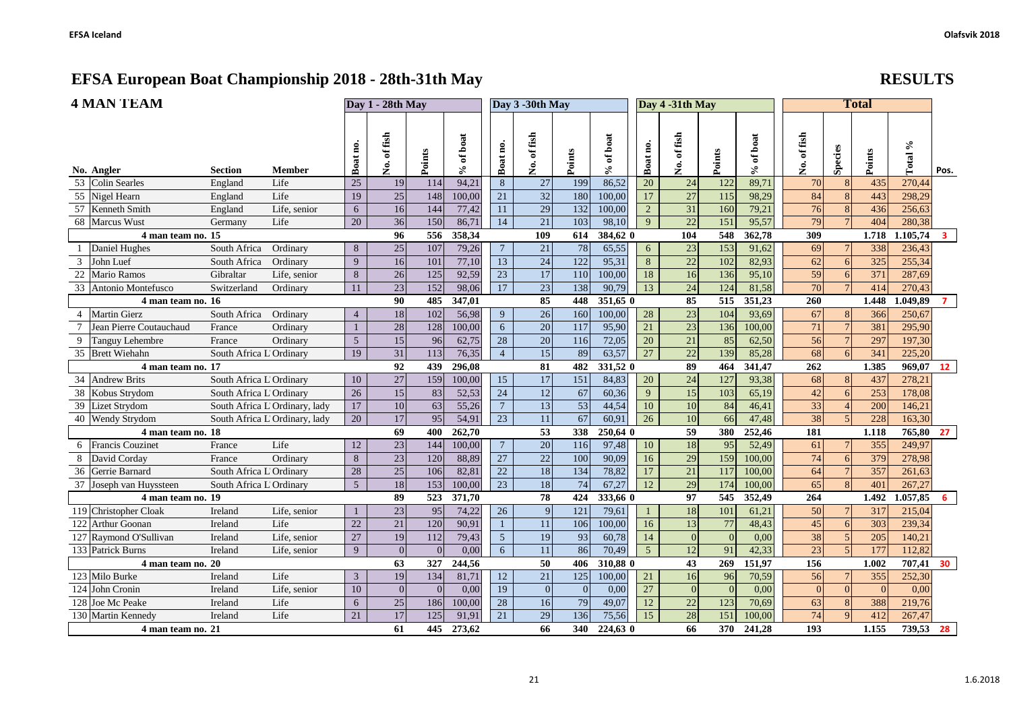|                | <b>4 MAN TEAM</b>             | Day 1 - 28th May                   |                               |                 |                 |                 | Day 3 -30th May |                  |                  |                 | Day 4 -31th May   |                 |                 | <b>Total</b>     |             |                 |                               |              |                        |                         |
|----------------|-------------------------------|------------------------------------|-------------------------------|-----------------|-----------------|-----------------|-----------------|------------------|------------------|-----------------|-------------------|-----------------|-----------------|------------------|-------------|-----------------|-------------------------------|--------------|------------------------|-------------------------|
|                | No. Angler                    | <b>Section</b>                     | Member                        | Boat no.        | of fish<br>ż.   | Points          | % of boat       | Boat no.         | of fish<br>ż.    | Points          | of boat<br>℅      | Boat no.        | of fish<br>ż.   | Points           | $%$ of boat | No. of fish     | Species                       | Points       | $\mathcal{S}$<br>Total | Pos.                    |
|                | 53 Colin Searles              | England                            | Life                          | 25              | 19              | 114             | 94,21           | $8\,$            | 27               | 199             | 86,52             | 20              | 24              | 122              | 89,71       | 70              | 8                             | 435          | 270,44                 |                         |
|                | 55 Nigel Hearn                | England                            | Life                          | 19              | 25              | 148             | 100,00          | 21               | 32               | 180             | 100,00            | 17              | 27              | 115              | 98,29       | 84              |                               | 443          | 298,29                 |                         |
|                | 57 Kenneth Smith              | England                            | Life, senior                  | 6               | 16              | 144             | 77,42           | 11               | 29               | 132             | 100,00            | $\overline{2}$  | 31              | 160              | 79,21       | 76              | 8                             | 436          | 256,63                 |                         |
|                | 68 Marcus Wust                | Germany                            | Life                          | 20              | 36              | 150             | 86,71           | 14               | 21               | 103             | 98,10             | 9               | 22              | 151              | 95,57       | 79              |                               | 404          | 280,38                 |                         |
|                | 4 man team no. 15             |                                    |                               |                 | 96              | 556             | 358.34          |                  | 109              | 614             | 384,62 0          |                 | 104             | 548              | 362,78      | 309             |                               | 1.718        | 1.105,74               | $\overline{\mathbf{3}}$ |
|                | Daniel Hughes                 | South Africa                       | Ordinary                      | 8               | 25              | 107             | 79,26           | $\boldsymbol{7}$ | 21               | 78              | 65,55             | 6               | 23              | 153              | 91,62       | 69              |                               | 338          | 236,43                 |                         |
|                | 3 John Luef                   | South Africa                       | Ordinary                      | 9               | 16              | 101             | 77,10           | 13               | 24               | 122             | 95,31             | $\,8\,$         | 22              | 102              | 82,93       | 62              | 6                             | 325          | 255,34                 |                         |
| 22             | <b>Mario Ramos</b>            | Gibraltar                          | Life, senior                  | 8               | 26              | 125             | 92,59           | $\overline{23}$  | $\overline{17}$  | 110             | 100,00            | 18              | 16              | 136              | 95,10       | 59              | 6                             | 371          | 287,69                 |                         |
|                | 33 Antonio Montefusco         | Switzerland                        | Ordinary                      | 11              | 23              | 152             | 98,06           | 17               | $\overline{23}$  | 138             | 90,79             | 13              | 24              | 124              | 81,58       | 70              |                               | 414          | 270,43                 |                         |
|                | 4 man team no. 16             |                                    |                               |                 | 90              | 485             | 347,01          |                  | 85               | 448             | 351.65 0          |                 | 85              | 515              | 351.23      | 260             |                               | 1.448        | 1.049,89               | $\overline{7}$          |
| $\overline{4}$ | Martin Gierz                  | South Africa                       | Ordinary                      | $\overline{4}$  | 18              | 102             | 56,98           | 9                | 26               | 160             | 100,00            | 28              | 23              | 104              | 93,69       | 67              | 8 <sup>l</sup>                | 366          | 250,67                 |                         |
|                | Jean Pierre Coutauchaud       | France                             | Ordinary                      |                 | 28              | 128             | 100,00          | $6\,$            | $\overline{20}$  | 117             | 95,90             | $\overline{21}$ | 23              | 136              | 100,00      | 71              |                               | 381          | 295,90                 |                         |
| 9              | Tanguy Lehembre               | France                             | Ordinary                      | $\mathfrak{S}$  | 15              | 96              | 62,75           | 28               | 20               | 116             | 72,05             | 20              | 21              | 85               | 62,50       | 56              | $\overline{7}$                | 297          | 197,30                 |                         |
|                | 35 Brett Wiehahn              | South Africa L Ordinary            |                               | 19              | 31              | 113             | 76,35           | $\overline{4}$   | 15               | 89              | 63,57             | 27              | 22              | 139              | 85,28       | 68              | 6                             | 341          | 225,20                 |                         |
|                | 4 man team no. 17             |                                    |                               |                 | 92              | 439             | 296,08          |                  | 81               | 482             | 331,52 0          |                 | 89              | 464              | 341,47      | 262             |                               | 1.385        | 969,07 12              |                         |
|                | 34 Andrew Brits               | South Africa L Ordinary            |                               | 10              | $\overline{27}$ | 159             | 100,00          | 15               | $\overline{17}$  | 151             | 84,83             | 20              | 24              | 127              | 93,38       | 68              | 8 <sup>l</sup>                | 437          | 278,21                 |                         |
|                | 38 Kobus Strydom              | South Africa L Ordinary            |                               | 26              | 15              | $\overline{83}$ | 52,53           | $\overline{24}$  | $\overline{12}$  | $\overline{67}$ | 60,36             | 9               | 15              | 103              | 65,19       | 42              | 6                             | 253          | 178,08                 |                         |
|                | 39 Lizet Strydom              |                                    | South Africa L Ordinary, lady | 17              | 10              | 63              | 55,26           | $\overline{7}$   | 13               | $\overline{53}$ | 44,54             | $10\,$          | 10              | 84               | 46,41       | 33              |                               | 200          | 146,21                 |                         |
|                | 40 Wendy Strydom              |                                    | South Africa L Ordinary, lady | 20              | 17              | 95              | 54,91           | 23               | 11               | 67              | 60,91             | 26              | 10              | 66               | 47,48       | 38              |                               | 228          | 163,30                 |                         |
|                | 4 man team no. 18             |                                    |                               |                 | 69              | 400             | 262,70          |                  | 53               | 338             | 250,64 0          |                 | 59              | 380              | 252,46      | 181             |                               | 1.118        | 765,80                 | 27                      |
| 6              | <b>Francis Couzinet</b>       | France                             | Life                          | 12              | 23              | 144             | 100,00          | $\overline{7}$   | $\overline{20}$  | 116             | 97,48             | 10              | 18              | 95               | 52,49       | 61              | 7                             | 355          | 249,97                 |                         |
| 8              | David Corday                  | France                             | Ordinary                      | 8               | 23              | 120             | 88,89           | 27               | $\overline{22}$  | 100             | 90,09             | 16              | $\overline{29}$ | 159              | 100,00      | 74              | 6                             | 379          | 278,98                 |                         |
|                | 36 Gerrie Barnard             | South Africa L Ordinary            |                               | 28              | 25              | 106             | 82,81           | $\overline{22}$  | $\overline{18}$  | 134             | 78,82             | $\overline{17}$ | 21              | $\overline{117}$ | 100,00      | 64              | $\overline{7}$                | 357          | 261,63                 |                         |
|                | 37 Joseph van Huyssteen       | South Africa L Ordinary            |                               | $5\overline{)}$ | 18              | 153             | 100,00          | $\overline{23}$  | $\overline{18}$  | 74              | 67,27             | 12              | 29              | 174              | 100,00      | 65              | $\vert 8 \vert$               | 401          | 267,27                 |                         |
|                | 4 man team no. 19             |                                    |                               |                 | 89              | 523             | 371,70          |                  | 78               | 424             | 333,66 0          |                 | 97              | 545              | 352,49      | 264             |                               | 1.492        | .057,85                | 6                       |
|                | 119 Christopher Cloak         | Ireland                            | Life, senior                  |                 | 23              | 95              | 74,22           | 26               | $\overline{9}$   | 121             | 79,61             |                 | 18              | 101              | 61,21       | 50              | $7\phantom{.0}$               | 317          | 215,04                 |                         |
|                | 122 Arthur Goonan             | Ireland                            | Life                          | 22              | 21              | 120             | 90,91           | $\mathbf{1}$     | 11               | 106             | 100,00            | 16              | 13              | 77               | 48,43       | 45              | 6                             | 303          | 239,34                 |                         |
|                | 127 Raymond O'Sullivan        | Ireland                            | Life, senior                  | 27              | 19              | 112             | 79,43           | $\overline{5}$   | $\overline{19}$  | 93              | 60,78             | 14              | $\mathbf{0}$    | $\Omega$         | 0,00        | 38              | 5<br>$\overline{\phantom{0}}$ | 205          | 140,21                 |                         |
|                | 133 Patrick Burns             | Ireland                            | Life, senior                  | 9               | $\Omega$        | $\Omega$        | 0,00            | 6                | 11               | 86              | 70,49             | $\overline{5}$  | 12              | 91               | 42,33       | $\overline{23}$ |                               | 177          | 112,82                 |                         |
|                | 4 man team no. 20             |                                    |                               |                 | 63              | 327             | 244,56          |                  | 50               | 406             | 310,88 0          |                 | $\overline{43}$ | 269              | 151,97      | 156             |                               | 1.002        | 707,41 30              |                         |
|                | 123 Milo Burke                | Ireland                            | Life                          | 3               | 19              | 134             | 81,71           | 12               | 21               | 125             | 100,00            | 21              | 16              | 96               | 70,59       | 56              |                               | 355          | 252,30                 |                         |
|                | 124 John Cronin               | Ireland                            | Life, senior                  | 10              | $\Omega$        | $\overline{0}$  | 0,00            | 19               | $\boldsymbol{0}$ | $\Omega$        | 0,00              | 27              | $\overline{0}$  | $\Omega$         | 0,00        | $\Omega$        | $\Omega$                      | $\Omega$     | 0.00                   |                         |
|                | 128 Joe Mc Peake              | 6<br>Life<br>Ireland<br>Life<br>21 |                               |                 | 25              | 186             | 100,00          | 28               | 16               | 79<br>136       | 49,07             | 12              | $22\,$          | 123              | 70,69       | 63              | 8<br>$\alpha$                 | 388          | 219,76                 |                         |
|                | 130 Martin Kennedy<br>Ireland |                                    |                               |                 | 17<br>61        | 125<br>445      | 91.91<br>273.62 | 21               | 29<br>66         | 340             | 75,56<br>224,63 0 | 15              | 28<br>66        | 151<br>370       | 100.00      | 74<br>193       |                               | 412<br>1.155 | 267,47                 |                         |
|                | 4 man team no. 21             |                                    |                               |                 |                 |                 |                 |                  |                  |                 |                   |                 |                 |                  | 241,28      |                 |                               |              | 739,53 28              |                         |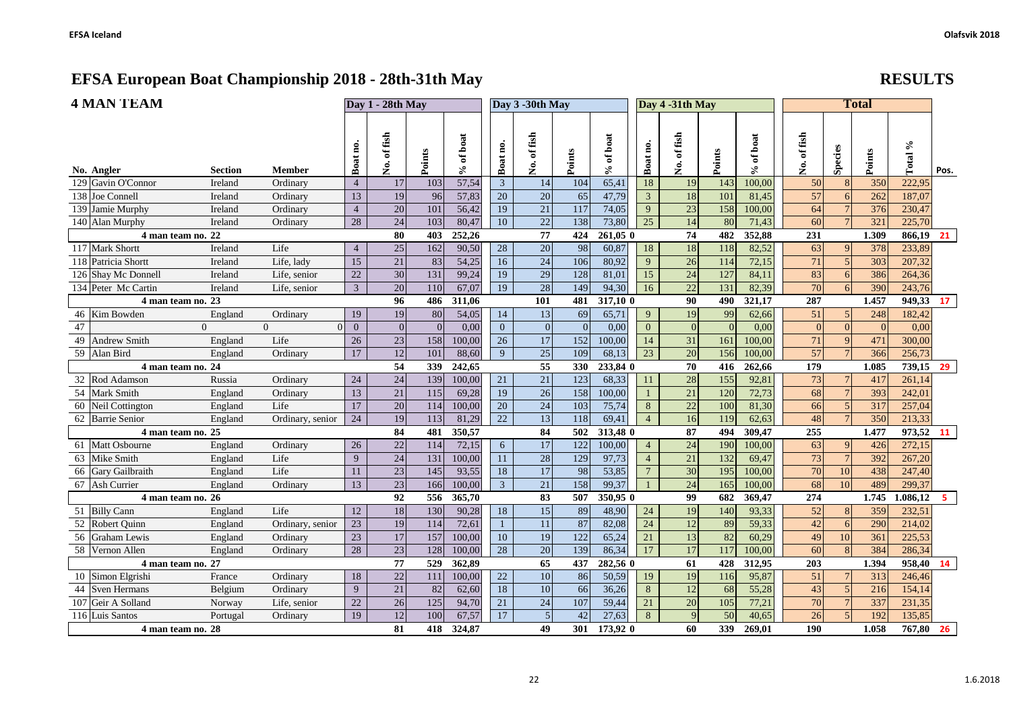|  | <b>RE</b> |
|--|-----------|
|  |           |

| <b>4 MAN TEAM</b>                                            | Day 1 - 28th May |                 |            | Day 3 -30th May                  |                 |                       |                  |                       | Day 4 -31th May |                       |            | <b>Total</b>             |                  |                 |            |                  |      |
|--------------------------------------------------------------|------------------|-----------------|------------|----------------------------------|-----------------|-----------------------|------------------|-----------------------|-----------------|-----------------------|------------|--------------------------|------------------|-----------------|------------|------------------|------|
| Section<br><b>Member</b><br>No. Angler                       | Boat no.         | No. of fish     | Points     | of boat<br>$\mathcal{S}_\bullet$ | Boat no.        | of fish<br>ż.         | Points           | of boat<br>℅          | Boat no.        | No. of fish           | Points     | of boat<br>$\mathcal{S}$ | No. of fish      | Species         | Points     | Total %          | Pos. |
| 129 Gavin O'Connor<br>Ireland<br>Ordinary                    | $\overline{4}$   | 17              | 103        | 57,54                            | $\overline{3}$  | 14                    | 104              | 65,41                 | 18              | 19                    | 143        | 100,00                   | 50               | 8               | 350        | 222,95           |      |
| 138 Joe Connell<br>Ireland<br>Ordinary                       | 13               | 19              | 96         | 57,83                            | 20              | 20                    | 65               | 47,79                 | 3               | 18                    | 101        | 81,45                    | 57               | 6               | 262        | 187,07           |      |
| 139 Jamie Murphy<br>Ireland<br>Ordinary                      | $\overline{4}$   | 20              | 101        | 56,42                            | 19              | 21                    | 117              | 74,05                 | 9               | 23                    | 158        | 100,00                   | 64               |                 | 376        | 230,47           |      |
| 140 Alan Murphy<br>Ireland<br>Ordinary                       | 28               | $\overline{24}$ | 103        | 80,47                            | 10              | 22                    | 138              | 73,80                 | $\overline{25}$ | 14                    | 80         | 71,43                    | 60               |                 | 321        | 225,70           |      |
| 4 man team no. 22                                            |                  | 80              | 403        | 252,26                           |                 | 77                    | 424              | $261,05$ <sup>0</sup> |                 | 74                    | 482        | 352,88                   | 231              |                 | 1.309      | 866,19           | 21   |
| Life<br>117 Mark Shortt<br>Ireland                           | $\overline{4}$   | $25\,$          | 162        | 90,50                            | 28              | $\overline{20}$       | 98               | 60,87                 | 18              | 18                    | 118        | 82,52                    | 63               | 9               | 378        | 233,89           |      |
| 118 Patricia Shortt<br>Ireland<br>Life, lady                 | 15               | 21              | 83         | 54,25                            | 16              | $\overline{24}$       | $\overline{106}$ | 80,92                 | 9               | 26                    | 114        | 72,15                    | 71               | $\overline{5}$  | 303        | 207,32           |      |
| 126 Shay Mc Donnell<br>Ireland<br>Life, senior               | 22               | 30              | 131        | 99,24                            | 19              | 29                    | 128              | 81,01                 | 15              | 24                    | 127        | 84,11                    | 83               | 6               | 386        | 264,36           |      |
| 134 Peter Mc Cartin<br>Ireland<br>Life, senior               | $\mathfrak{Z}$   | $\overline{20}$ | 110        | 67,07                            | 19              | $\overline{28}$       | 149              | 94,30                 | 16              | $\overline{22}$       | 131        | 82,39                    | $\overline{70}$  |                 | 390        | 243,76           |      |
| 4 man team no. 23                                            |                  | 96              | 486        | 311,06                           |                 | 101                   | 481              | 317,10 0              |                 | 90                    | 490        | 321,17                   | 287              |                 | 1.457      | 949,33           | 17   |
| 46 Kim Bowden<br>England<br>Ordinary                         | 19               | 19              | $80\,$     | 54,05                            | 14              | 13                    | 69               | 65,71                 | 9               | 19                    | 99         | 62,66                    | 51               | 5               | 248        | 182,42           |      |
| 47<br>$\Omega$<br>$\Omega$<br>$\Omega$                       | $\overline{0}$   | $\Omega$        | $\Omega$   | 0,00                             | $\overline{0}$  | $\overline{0}$        | $\Omega$         | 0.00                  | $\mathbf{0}$    | $\theta$              | $\Omega$   | 0,00                     | $\Omega$         | $\Omega$        | $\Omega$   | 0,00             |      |
| 49 Andrew Smith<br>England<br>Life                           | 26               | 23              | 158        | 100,00                           | $\overline{26}$ | 17                    | 152              | 100,00                | 14              | 31                    | 161        | 100,00                   | 71               | 9               | 471        | 300,00           |      |
| 59 Alan Bird<br>England<br>Ordinary                          | 17               | 12              | 101<br>339 | 88,60<br>242,65                  | 9               | $\overline{25}$       | 109<br>330       | 68,13<br>233,84 0     | 23              | $\overline{20}$       | 156        | 100,00                   | $\overline{57}$  |                 | 366        | 256,73           |      |
| 4 man team no. 24                                            |                  | 54              |            |                                  |                 | $\overline{55}$       |                  |                       |                 | 70                    | 416        | 262,66                   | 179              |                 | 1.085      | 739,15 29        |      |
| 32 Rod Adamson<br>Russia<br>Ordinary<br>54 Mark Smith        | 24<br>13         | 24<br>21        | 139<br>115 | 100,00<br>69,28                  | 21<br>19        | 21<br>$\overline{26}$ | 123<br>158       | 68,33                 | 11              | 28<br>$\overline{21}$ | 155<br>120 | 92,81                    | 73               |                 | 417<br>393 | 261,14<br>242,01 |      |
| England<br>Ordinary<br>60 Neil Cottington<br>Life<br>England | 17               | 20              | 114        | 100,00                           | 20              | $\overline{24}$       | 103              | 100,00<br>75,74       | 8               | 22                    | 100        | 72,73<br>81,30           | 68<br>66         | 5               | 317        | 257,04           |      |
| 62 Barrie Senior                                             | 24               | 19              | 113        | 81,29                            | 22              | 13                    | 118              | 69,41                 | $\overline{4}$  | 16                    | 119        | 62,63                    | 48               |                 | 350        | 213,33           |      |
| England<br>Ordinary, senior<br>4 man team no. 25             |                  | 84              | 481        | 350,57                           |                 | 84                    | 502              | 313,48 0              |                 | 87                    | 494        | 309,47                   | 255              |                 | 1.477      | 973,52 11        |      |
| 61 Matt Osbourne<br>Ordinary<br>England                      | 26               | $22\,$          | 114        | 72,15                            | 6               | 17                    | 122              | 100,00                | $\overline{4}$  | $\overline{24}$       | 190        | 100,00                   | 63               | $\mathbf{Q}$    | 426        | 272,15           |      |
| 63 Mike Smith<br>Life<br>England                             | 9                | 24              | 131        | 100,00                           | 11              | $\overline{28}$       | 129              | 97,73                 | $\overline{4}$  | 21                    | 132        | 69,47                    | 73               | $7\phantom{.0}$ | 392        | 267,20           |      |
| 66 Gary Gailbraith<br>Life<br>England                        | 11               | 23              | 145        | 93,55                            | 18              | $17\,$                | 98               | 53,85                 | $\overline{7}$  | 30                    | 195        | 100,00                   | $\overline{70}$  | 10              | 438        | 247,40           |      |
| 67 Ash Currier<br>England<br>Ordinary                        | 13               | 23              | 166        | 100,00                           | $\overline{3}$  | 21                    | 158              | 99,37                 |                 | 24                    | 165        | 100,00                   | 68               | 10              | 489        | 299,37           |      |
| 4 man team no. 26                                            |                  | 92              | 556        | 365,70                           |                 | 83                    | 507              | 350,95 0              |                 | 99                    | 682        | 369,47                   | $\overline{274}$ |                 | 1.745      | 1.086,12         | $-5$ |
| $\overline{51}$ Billy Cann<br>Life<br>England                | $12\,$           | 18              | 130        | 90,28                            | 18              | 15                    | 89               | 48,90                 | 24              | $\overline{19}$       | 140        | 93,33                    | $\overline{52}$  | 8               | 359        | 232,51           |      |
| 52 Robert Quinn<br>England<br>Ordinary, senior               | 23               | 19              | 114        | 72,61                            | $\mathbf{1}$    | 11                    | 87               | 82,08                 | 24              | 12                    | 89         | 59,33                    | 42               | 6               | 290        | 214,02           |      |
| 56 Graham Lewis<br>England<br>Ordinary                       | 23               | 17              | 157        | 100,00                           | 10              | 19                    | $\overline{122}$ | 65,24                 | 21              | 13                    | 82         | 60,29                    | 49               | 10              | 361        | 225,53           |      |
| 58 Vernon Allen<br>England<br>Ordinary                       | $\overline{28}$  | 23              | 128        | 100,00                           | 28              | 20                    | 139              | 86,34                 | 17              | 17                    | 117        | 100,00                   | 60               | $\overline{8}$  | 384        | 286,34           |      |
| 4 man team no. 27                                            |                  | 77              | 529        | 362,89                           |                 | 65                    | 437              | 282,56 0              |                 | 61                    | 428        | 312,95                   | 203              |                 | 1.394      | 958,40           | 14   |
| 10 Simon Elgrishi<br>France<br>Ordinary                      | 18               | 22              | 111        | 100,00                           | $22\,$          | $\overline{10}$       | 86               | 50,59                 | 19              | 19                    | 116        | 95,87                    | 51               |                 | 313        | 246,46           |      |
| 44 Sven Hermans<br>Belgium<br>Ordinary                       | 9                | 21              | 82         | 62,60                            | 18              | 10                    | 66               | 36,26                 | 8               | 12                    | 68         | 55,28                    | 43               |                 | 216        | 154,14           |      |
| 107 Geir A Solland<br>Norway<br>Life, senior                 | 22               | 26              | 125        | 94,70                            | 21              | 24                    | 107              | 59,44                 | 21              | 20                    | 105        | 77,21                    | 70               |                 | 337        | 231,35           |      |
| 116 Luis Santos<br>Portugal<br>Ordinary                      | 19               | 12              | 100        | 67,57                            | 17              | $\overline{5}$        | 42               | 27,63                 | 8               | $\overline{9}$        | 50         | 40,65                    | 26               |                 | 192        | 135,85           |      |
| 4 man team no. 28                                            | 81               | 418             | 324,87     |                                  | 49              | 301                   | 173.92 0         |                       | 60              | 339                   | 269,01     | 190                      |                  | 1.058           | 767,80     | 26               |      |